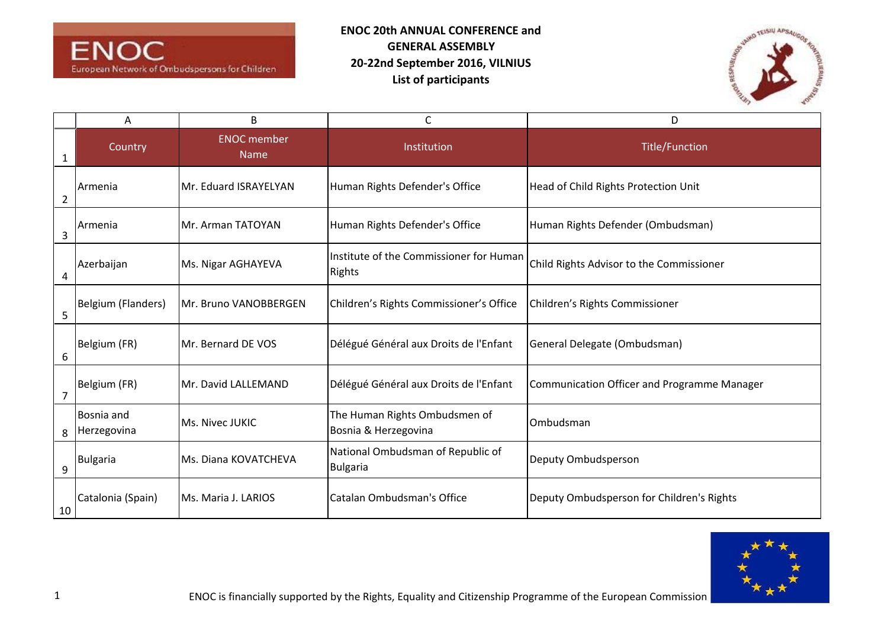



|                | A                         | B                                 | C                                                        | D                                           |
|----------------|---------------------------|-----------------------------------|----------------------------------------------------------|---------------------------------------------|
| 1              | Country                   | <b>ENOC</b> member<br><b>Name</b> | Institution                                              | <b>Title/Function</b>                       |
| $\overline{2}$ | Armenia                   | Mr. Eduard ISRAYELYAN             | Human Rights Defender's Office                           | Head of Child Rights Protection Unit        |
| 3              | Armenia                   | Mr. Arman TATOYAN                 | Human Rights Defender's Office                           | Human Rights Defender (Ombudsman)           |
| 4              | Azerbaijan                | Ms. Nigar AGHAYEVA                | Institute of the Commissioner for Human<br><b>Rights</b> | Child Rights Advisor to the Commissioner    |
| 5              | Belgium (Flanders)        | Mr. Bruno VANOBBERGEN             | Children's Rights Commissioner's Office                  | Children's Rights Commissioner              |
| 6              | Belgium (FR)              | Mr. Bernard DE VOS                | Délégué Général aux Droits de l'Enfant                   | General Delegate (Ombudsman)                |
| $\overline{7}$ | Belgium (FR)              | Mr. David LALLEMAND               | Délégué Général aux Droits de l'Enfant                   | Communication Officer and Programme Manager |
| 8              | Bosnia and<br>Herzegovina | Ms. Nivec JUKIC                   | The Human Rights Ombudsmen of<br>Bosnia & Herzegovina    | Ombudsman                                   |
| 9              | <b>Bulgaria</b>           | Ms. Diana KOVATCHEVA              | National Ombudsman of Republic of<br><b>Bulgaria</b>     | Deputy Ombudsperson                         |
| 10             | Catalonia (Spain)         | Ms. Maria J. LARIOS               | Catalan Ombudsman's Office                               | Deputy Ombudsperson for Children's Rights   |

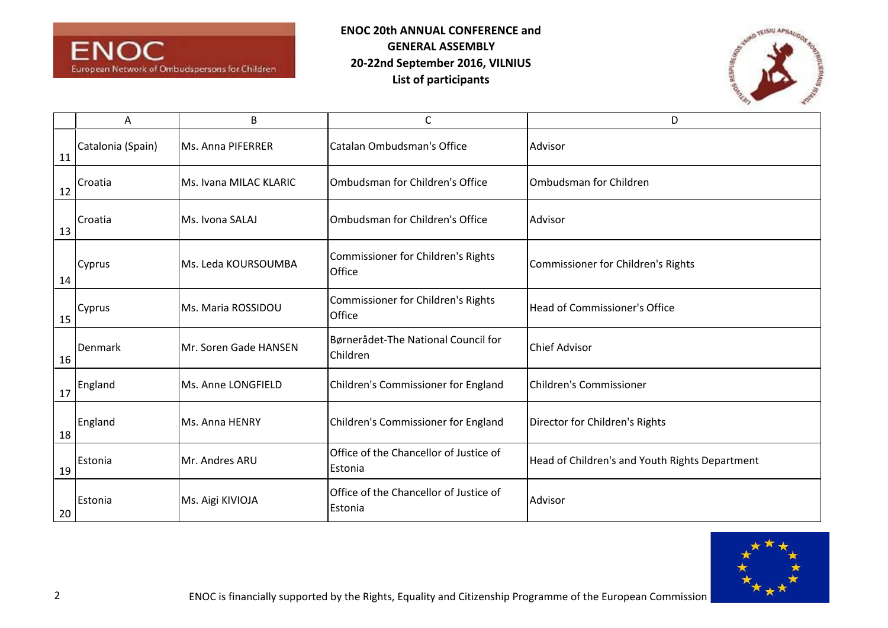



|    | А                 | B                      | $\mathsf C$                                       | D                                              |
|----|-------------------|------------------------|---------------------------------------------------|------------------------------------------------|
| 11 | Catalonia (Spain) | Ms. Anna PIFERRER      | Catalan Ombudsman's Office                        | Advisor                                        |
| 12 | Croatia           | Ms. Ivana MILAC KLARIC | Ombudsman for Children's Office                   | Ombudsman for Children                         |
| 13 | Croatia           | Ms. Ivona SALAJ        | Ombudsman for Children's Office                   | Advisor                                        |
| 14 | Cyprus            | Ms. Leda KOURSOUMBA    | Commissioner for Children's Rights<br>Office      | Commissioner for Children's Rights             |
| 15 | Cyprus            | Ms. Maria ROSSIDOU     | Commissioner for Children's Rights<br>Office      | Head of Commissioner's Office                  |
| 16 | Denmark           | Mr. Soren Gade HANSEN  | Børnerådet-The National Council for<br>Children   | <b>Chief Advisor</b>                           |
| 17 | England           | Ms. Anne LONGFIELD     | Children's Commissioner for England               | <b>Children's Commissioner</b>                 |
| 18 | England           | Ms. Anna HENRY         | Children's Commissioner for England               | Director for Children's Rights                 |
| 19 | Estonia           | Mr. Andres ARU         | Office of the Chancellor of Justice of<br>Estonia | Head of Children's and Youth Rights Department |
| 20 | Estonia           | Ms. Aigi KIVIOJA       | Office of the Chancellor of Justice of<br>Estonia | Advisor                                        |

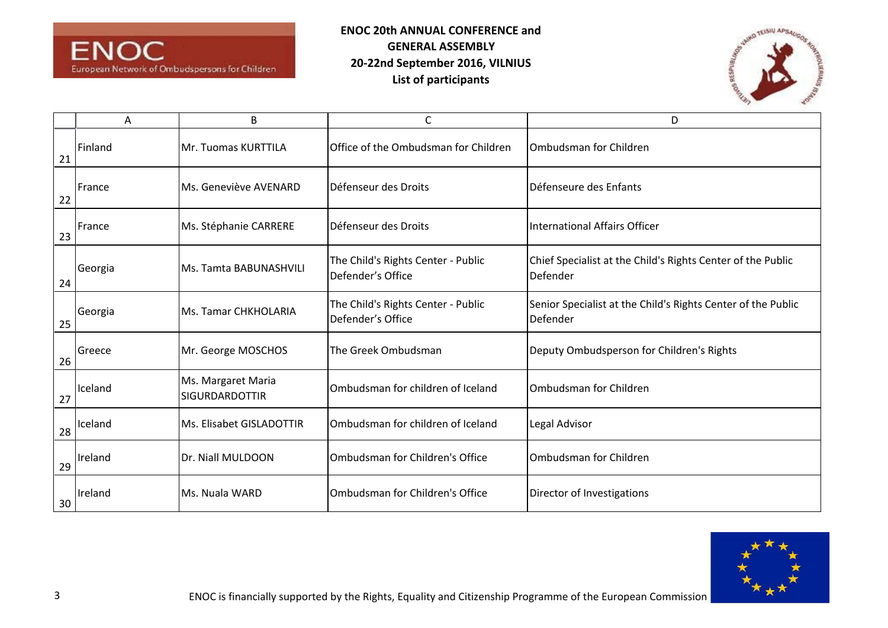



|    | А       | В                                           | С                                                       | D                                                                        |
|----|---------|---------------------------------------------|---------------------------------------------------------|--------------------------------------------------------------------------|
| 21 | Finland | Mr. Tuomas KURTTILA                         | Office of the Ombudsman for Children                    | Ombudsman for Children                                                   |
| 22 | France  | Ms. Geneviève AVENARD                       | Défenseur des Droits                                    | Défenseure des Enfants                                                   |
| 23 | France  | Ms. Stéphanie CARRERE                       | Défenseur des Droits                                    | International Affairs Officer                                            |
| 24 | Georgia | Ms. Tamta BABUNASHVILI                      | The Child's Rights Center - Public<br>Defender's Office | Chief Specialist at the Child's Rights Center of the Public<br>Defender  |
| 25 | Georgia | Ms. Tamar CHKHOLARIA                        | The Child's Rights Center - Public<br>Defender's Office | Senior Specialist at the Child's Rights Center of the Public<br>Defender |
| 26 | Greece  | Mr. George MOSCHOS                          | The Greek Ombudsman                                     | Deputy Ombudsperson for Children's Rights                                |
| 27 | Iceland | Ms. Margaret Maria<br><b>SIGURDARDOTTIR</b> | Ombudsman for children of Iceland                       | Ombudsman for Children                                                   |
| 28 | Iceland | Ms. Elisabet GISLADOTTIR                    | Ombudsman for children of Iceland                       | Legal Advisor                                                            |
| 29 | Ireland | Dr. Niall MULDOON                           | Ombudsman for Children's Office                         | Ombudsman for Children                                                   |
| 30 | Ireland | Ms. Nuala WARD                              | <b>IOmbudsman for Children's Office</b>                 | Director of Investigations                                               |

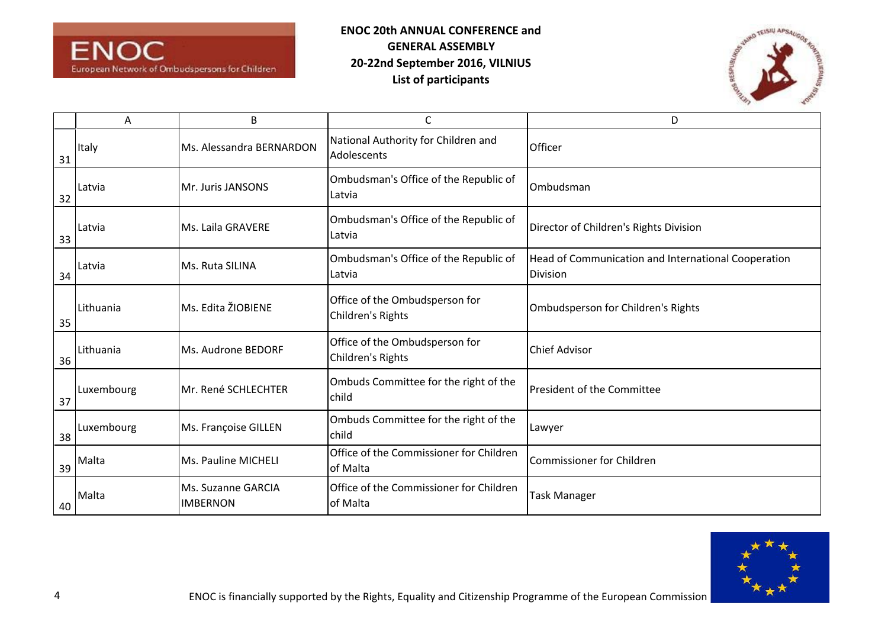



|    | Α          | B                                     | C                                                   | D                                                               |
|----|------------|---------------------------------------|-----------------------------------------------------|-----------------------------------------------------------------|
| 31 | Italy      | Ms. Alessandra BERNARDON              | National Authority for Children and<br>Adolescents  | Officer                                                         |
| 32 | Latvia     | Mr. Juris JANSONS                     | Ombudsman's Office of the Republic of<br>Latvia     | Ombudsman                                                       |
| 33 | Latvia     | Ms. Laila GRAVERE                     | Ombudsman's Office of the Republic of<br>Latvia     | Director of Children's Rights Division                          |
| 34 | Latvia     | Ms. Ruta SILINA                       | Ombudsman's Office of the Republic of<br>Latvia     | Head of Communication and International Cooperation<br>Division |
| 35 | Lithuania  | Ms. Edita ŽIOBIENE                    | Office of the Ombudsperson for<br>Children's Rights | Ombudsperson for Children's Rights                              |
| 36 | Lithuania  | Ms. Audrone BEDORF                    | Office of the Ombudsperson for<br>Children's Rights | <b>Chief Advisor</b>                                            |
| 37 | Luxembourg | Mr. René SCHLECHTER                   | Ombuds Committee for the right of the<br>child      | <b>President of the Committee</b>                               |
| 38 | Luxembourg | Ms. Françoise GILLEN                  | Ombuds Committee for the right of the<br>child      | Lawyer                                                          |
| 39 | Malta      | Ms. Pauline MICHELI                   | Office of the Commissioner for Children<br>of Malta | <b>Commissioner for Children</b>                                |
| 40 | Malta      | Ms. Suzanne GARCIA<br><b>IMBERNON</b> | Office of the Commissioner for Children<br>of Malta | Task Manager                                                    |

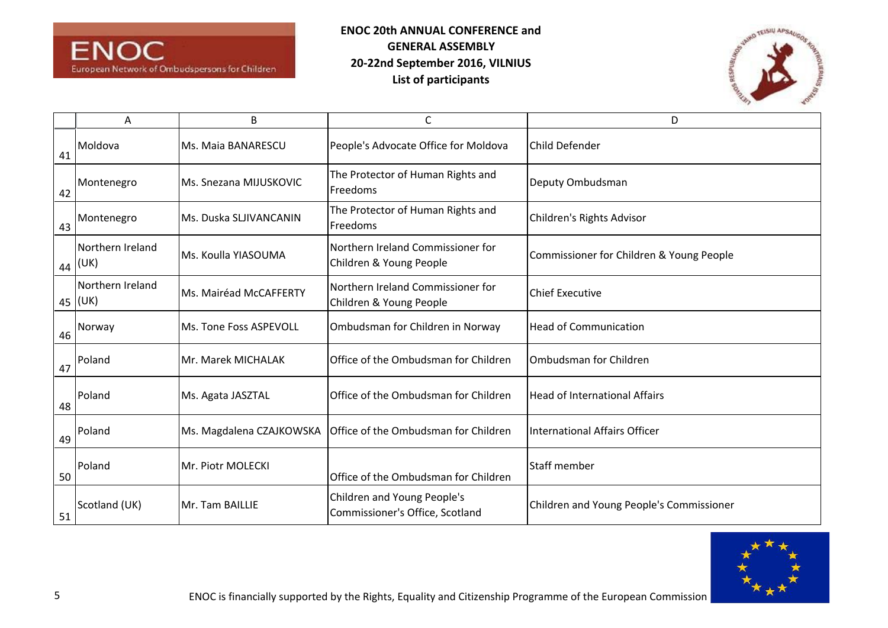



|    | Α                             | В                        | C                                                              | D                                        |
|----|-------------------------------|--------------------------|----------------------------------------------------------------|------------------------------------------|
| 41 | Moldova                       | Ms. Maia BANARESCU       | People's Advocate Office for Moldova                           | Child Defender                           |
| 42 | Montenegro                    | Ms. Snezana MIJUSKOVIC   | The Protector of Human Rights and<br>Freedoms                  | Deputy Ombudsman                         |
| 43 | Montenegro                    | Ms. Duska SLJIVANCANIN   | The Protector of Human Rights and<br>Freedoms                  | Children's Rights Advisor                |
| 44 | Northern Ireland<br>(UK)      | lMs. Koulla YIASOUMA     | Northern Ireland Commissioner for<br>Children & Young People   | Commissioner for Children & Young People |
|    | Northern Ireland<br>$45$ (UK) | Ms. Mairéad McCAFFERTY   | Northern Ireland Commissioner for<br>Children & Young People   | <b>Chief Executive</b>                   |
| 46 | Norway                        | Ms. Tone Foss ASPEVOLL   | Ombudsman for Children in Norway                               | <b>Head of Communication</b>             |
| 47 | Poland                        | Mr. Marek MICHALAK       | Office of the Ombudsman for Children                           | Ombudsman for Children                   |
| 48 | Poland                        | Ms. Agata JASZTAL        | Office of the Ombudsman for Children                           | <b>Head of International Affairs</b>     |
| 49 | Poland                        | Ms. Magdalena CZAJKOWSKA | Office of the Ombudsman for Children                           | International Affairs Officer            |
| 50 | Poland                        | Mr. Piotr MOLECKI        | Office of the Ombudsman for Children                           | <b>Staff member</b>                      |
| 51 | Scotland (UK)                 | Mr. Tam BAILLIE          | Children and Young People's<br>Commissioner's Office, Scotland | Children and Young People's Commissioner |

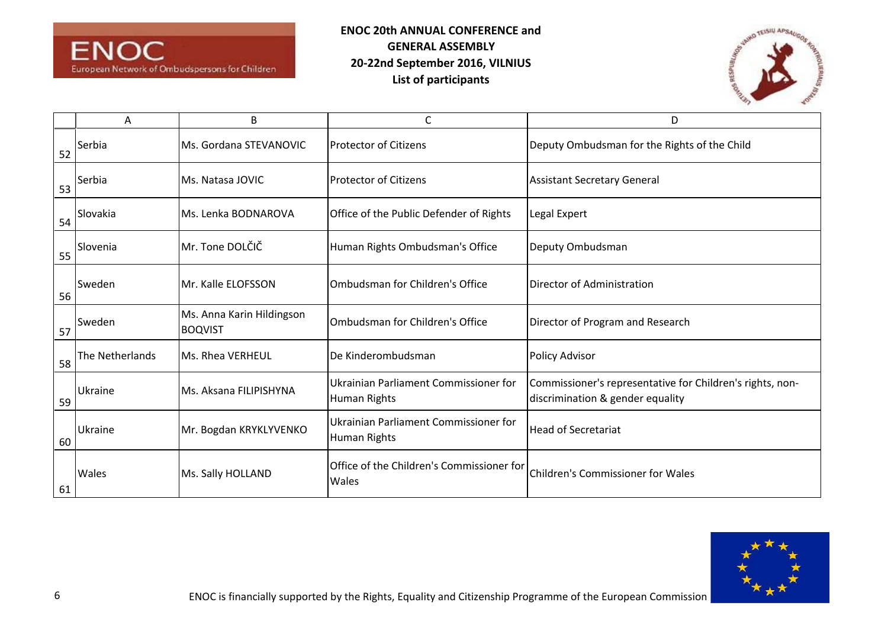



|    | A               | B                                           | С                                                            | D                                                                                             |
|----|-----------------|---------------------------------------------|--------------------------------------------------------------|-----------------------------------------------------------------------------------------------|
| 52 | Serbia          | Ms. Gordana STEVANOVIC                      | <b>Protector of Citizens</b>                                 | Deputy Ombudsman for the Rights of the Child                                                  |
| 53 | Serbia          | Ms. Natasa JOVIC                            | <b>Protector of Citizens</b>                                 | <b>Assistant Secretary General</b>                                                            |
| 54 | Slovakia        | Ms. Lenka BODNAROVA                         | Office of the Public Defender of Rights                      | Legal Expert                                                                                  |
| 55 | Slovenia        | Mr. Tone DOLČIČ                             | Human Rights Ombudsman's Office                              | Deputy Ombudsman                                                                              |
| 56 | <b>Sweden</b>   | Mr. Kalle ELOFSSON                          | Ombudsman for Children's Office                              | Director of Administration                                                                    |
| 57 | Sweden          | Ms. Anna Karin Hildingson<br><b>BOQVIST</b> | Ombudsman for Children's Office                              | Director of Program and Research                                                              |
| 58 | The Netherlands | Ms. Rhea VERHEUL                            | De Kinderombudsman                                           | <b>Policy Advisor</b>                                                                         |
| 59 | Ukraine         | Ms. Aksana FILIPISHYNA                      | Ukrainian Parliament Commissioner for<br><b>Human Rights</b> | Commissioner's representative for Children's rights, non-<br>discrimination & gender equality |
| 60 | Ukraine         | Mr. Bogdan KRYKLYVENKO                      | Ukrainian Parliament Commissioner for<br>Human Rights        | <b>Head of Secretariat</b>                                                                    |
| 61 | <b>Wales</b>    | Ms. Sally HOLLAND                           | Office of the Children's Commissioner for<br>Wales           | Children's Commissioner for Wales                                                             |

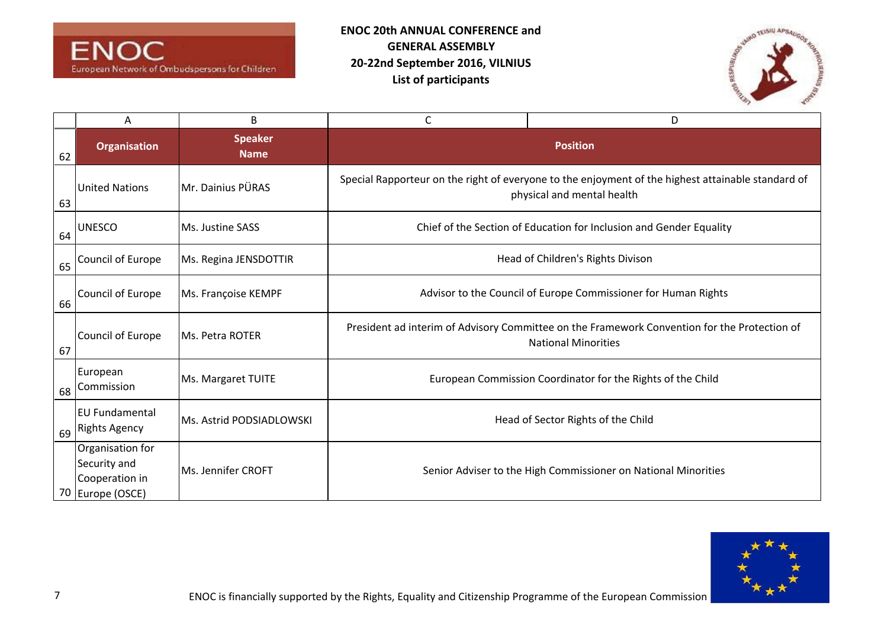



|    | Α                                                                      | B                             | C                                                                                                                                | D                                                              |
|----|------------------------------------------------------------------------|-------------------------------|----------------------------------------------------------------------------------------------------------------------------------|----------------------------------------------------------------|
| 62 | <b>Organisation</b>                                                    | <b>Speaker</b><br><b>Name</b> |                                                                                                                                  | <b>Position</b>                                                |
| 63 | <b>United Nations</b>                                                  | Mr. Dainius PÜRAS             | Special Rapporteur on the right of everyone to the enjoyment of the highest attainable standard of<br>physical and mental health |                                                                |
| 64 | <b>UNESCO</b>                                                          | Ms. Justine SASS              | Chief of the Section of Education for Inclusion and Gender Equality                                                              |                                                                |
| 65 | Council of Europe                                                      | Ms. Regina JENSDOTTIR         | Head of Children's Rights Divison                                                                                                |                                                                |
| 66 | Council of Europe                                                      | Ms. Françoise KEMPF           | Advisor to the Council of Europe Commissioner for Human Rights                                                                   |                                                                |
| 67 | Council of Europe                                                      | Ms. Petra ROTER               | President ad interim of Advisory Committee on the Framework Convention for the Protection of<br><b>National Minorities</b>       |                                                                |
| 68 | European<br>Commission                                                 | Ms. Margaret TUITE            | European Commission Coordinator for the Rights of the Child                                                                      |                                                                |
| 69 | <b>EU Fundamental</b><br><b>Rights Agency</b>                          | Ms. Astrid PODSIADLOWSKI      |                                                                                                                                  | Head of Sector Rights of the Child                             |
|    | Organisation for<br>Security and<br>Cooperation in<br>70 Europe (OSCE) | Ms. Jennifer CROFT            |                                                                                                                                  | Senior Adviser to the High Commissioner on National Minorities |

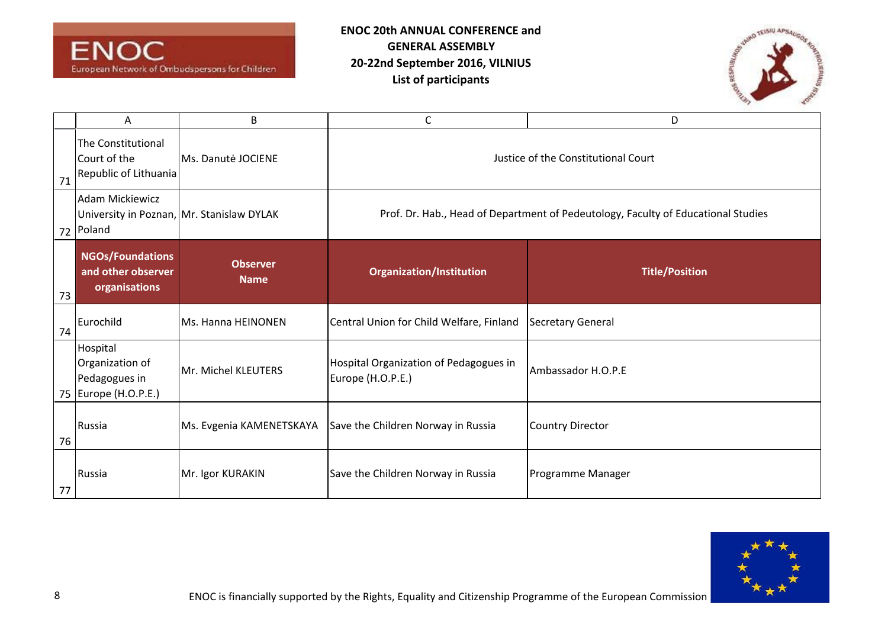



|    | Α                                                                             | B                              | С                                                                                                                        | D                        |
|----|-------------------------------------------------------------------------------|--------------------------------|--------------------------------------------------------------------------------------------------------------------------|--------------------------|
| 71 | The Constitutional<br>Court of the<br>Republic of Lithuania                   | Ms. Danutė JOCIENE             | Justice of the Constitutional Court<br>Prof. Dr. Hab., Head of Department of Pedeutology, Faculty of Educational Studies |                          |
| 72 | <b>Adam Mickiewicz</b><br>University in Poznan, Mr. Stanislaw DYLAK<br>Poland |                                |                                                                                                                          |                          |
| 73 | <b>NGOs/Foundations</b><br>and other observer<br>organisations                | <b>Observer</b><br><b>Name</b> | <b>Organization/Institution</b>                                                                                          | <b>Title/Position</b>    |
| 74 | Eurochild                                                                     | Ms. Hanna HEINONEN             | Central Union for Child Welfare, Finland                                                                                 | <b>Secretary General</b> |
|    | Hospital<br>Organization of<br>Pedagogues in<br>75 Europe (H.O.P.E.)          | Mr. Michel KLEUTERS            | Hospital Organization of Pedagogues in<br>Europe (H.O.P.E.)                                                              | Ambassador H.O.P.E       |
| 76 | Russia                                                                        | Ms. Evgenia KAMENETSKAYA       | Save the Children Norway in Russia                                                                                       | <b>Country Director</b>  |
| 77 | Russia                                                                        | Mr. Igor KURAKIN               | Save the Children Norway in Russia                                                                                       | Programme Manager        |

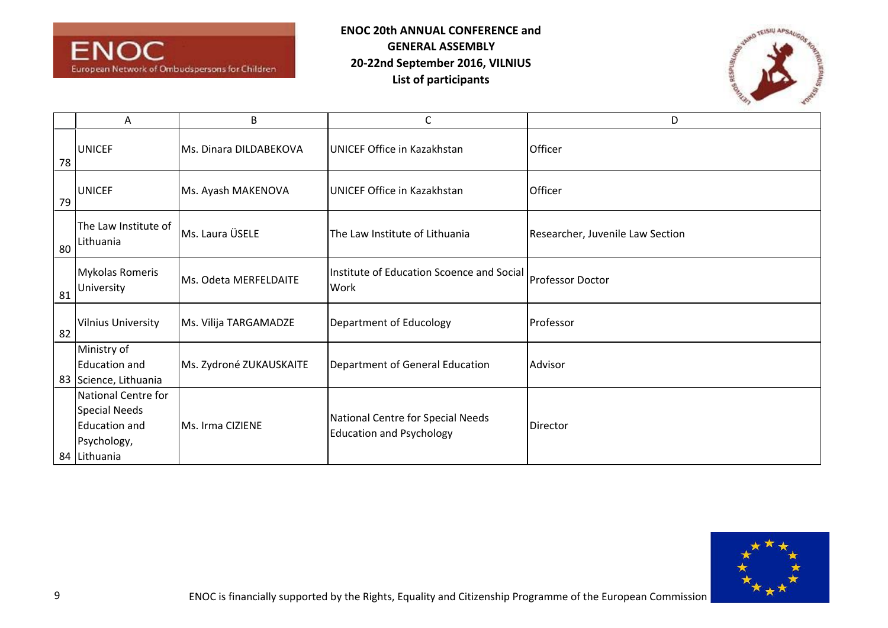



|    | Α                                    | B                       | C                                                 | D                                |
|----|--------------------------------------|-------------------------|---------------------------------------------------|----------------------------------|
| 78 | <b>UNICEF</b>                        | Ms. Dinara DILDABEKOVA  | <b>UNICEF Office in Kazakhstan</b>                | Officer                          |
| 79 | <b>UNICEF</b>                        | Ms. Ayash MAKENOVA      | <b>UNICEF Office in Kazakhstan</b>                | Officer                          |
| 80 | The Law Institute of<br>Lithuania    | Ms. Laura ÜSELE         | The Law Institute of Lithuania                    | Researcher, Juvenile Law Section |
| 81 | <b>Mykolas Romeris</b><br>University | Ms. Odeta MERFELDAITE   | Institute of Education Scoence and Social<br>Work | <b>Professor Doctor</b>          |
| 82 | <b>Vilnius University</b>            | Ms. Vilija TARGAMADZE   | Department of Educology                           | Professor                        |
|    | Ministry of                          |                         |                                                   |                                  |
|    | <b>Education and</b>                 | Ms. Zydroné ZUKAUSKAITE | Department of General Education                   | Advisor                          |
|    | 83 Science, Lithuania                |                         |                                                   |                                  |
|    | National Centre for                  |                         |                                                   |                                  |
|    | Special Needs                        |                         | National Centre for Special Needs                 |                                  |
|    | <b>Education and</b>                 | Ms. Irma CIZIENE        | <b>Education and Psychology</b>                   | Director                         |
|    | Psychology,                          |                         |                                                   |                                  |
|    | 84 Lithuania                         |                         |                                                   |                                  |

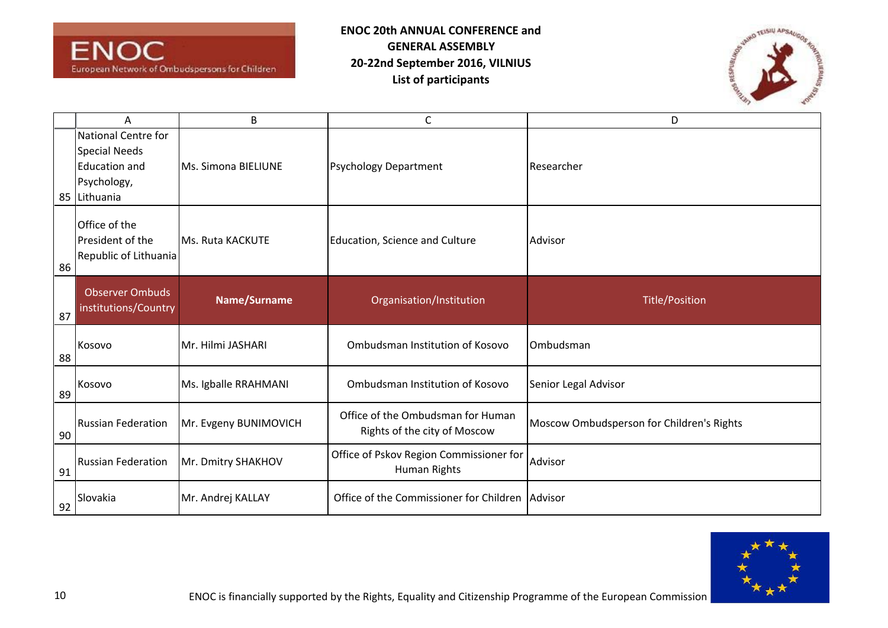



|    | Α                                                                                                         | B                     | $\mathsf{C}$                                                      | D                                         |
|----|-----------------------------------------------------------------------------------------------------------|-----------------------|-------------------------------------------------------------------|-------------------------------------------|
|    | <b>National Centre for</b><br><b>Special Needs</b><br><b>Education and</b><br>Psychology,<br>85 Lithuania | Ms. Simona BIELIUNE   | <b>Psychology Department</b>                                      | Researcher                                |
| 86 | Office of the<br>President of the<br>Republic of Lithuania                                                | Ms. Ruta KACKUTE      | Education, Science and Culture                                    | Advisor                                   |
| 87 | <b>Observer Ombuds</b><br>institutions/Country                                                            | Name/Surname          | Organisation/Institution                                          | <b>Title/Position</b>                     |
| 88 | Kosovo                                                                                                    | Mr. Hilmi JASHARI     | Ombudsman Institution of Kosovo                                   | Ombudsman                                 |
| 89 | Kosovo                                                                                                    | Ms. Igballe RRAHMANI  | Ombudsman Institution of Kosovo                                   | Senior Legal Advisor                      |
| 90 | <b>Russian Federation</b>                                                                                 | Mr. Evgeny BUNIMOVICH | Office of the Ombudsman for Human<br>Rights of the city of Moscow | Moscow Ombudsperson for Children's Rights |
| 91 | <b>Russian Federation</b>                                                                                 | Mr. Dmitry SHAKHOV    | Office of Pskov Region Commissioner for<br>Human Rights           | Advisor                                   |
| 92 | Slovakia                                                                                                  | Mr. Andrej KALLAY     | Office of the Commissioner for Children Advisor                   |                                           |